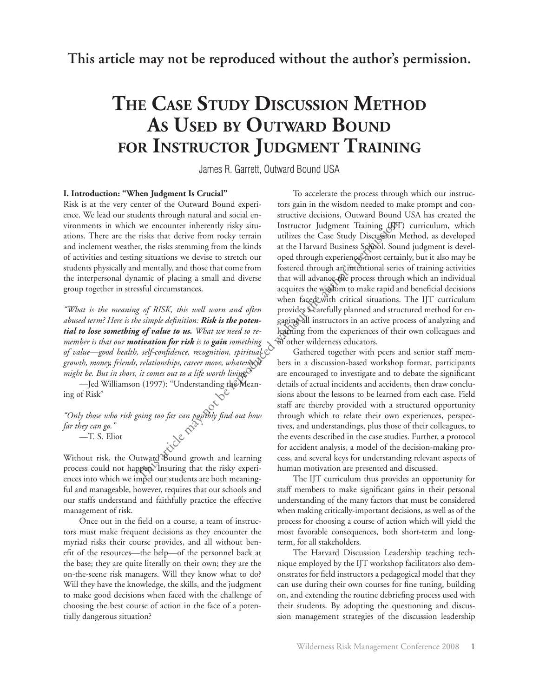**This article may not be reproduced without the author's permission.**

# **The Case Study Discussion Method As Used by Outward Bound for Instructor Judgment Training**

James R. Garrett, Outward Bound USA

## **I. Introduction: "When Judgment Is Crucial"**

Risk is at the very center of the Outward Bound experience. We lead our students through natural and social environments in which we encounter inherently risky situations. There are the risks that derive from rocky terrain and inclement weather, the risks stemming from the kinds of activities and testing situations we devise to stretch our students physically and mentally, and those that come from the interpersonal dynamic of placing a small and diverse group together in stressful circumstances.

*"What is the meaning of RISK, this well worn and often abused term? Here is the simple definition: Risk is the potential to lose something of value to us. What we need to remember is that our motivation for risk is to gain something of value—good health, self-confidence, recognition, spiritual growth, money, friends, relationships, career move, whatever it might be. But in short, it comes out to a life worth living."*

*—*Jed Williamson (1997): "Understanding the Meaning of Risk"

*"Only those who risk going too far can possibly find out how far they can go."*

—T. S. Eliot

Without risk, the Outward Bound growth and learning process could not happen. Insuring that the risky experiences into which we impel our students are both meaningful and manageable, however, requires that our schools and our staffs understand and faithfully practice the effective management of risk.

Once out in the field on a course, a team of instructors must make frequent decisions as they encounter the myriad risks their course provides, and all without benefit of the resources—the help—of the personnel back at the base; they are quite literally on their own; they are the on-the-scene risk managers. Will they know what to do? Will they have the knowledge, the skills, and the judgment to make good decisions when faced with the challenge of choosing the best course of action in the face of a potentially dangerous situation?

To accelerate the process through which our instructors gain in the wisdom needed to make prompt and constructive decisions, Outward Bound USA has created the Instructor Judgment Training (IJT) curriculum, which utilizes the Case Study Discussion Method, as developed at the Harvard Business School. Sound judgment is developed through experience, most certainly, but it also may be fostered through an intentional series of training activities that will advance the process through which an individual acquires the wisdom to make rapid and beneficial decisions when faced with critical situations. The IJT curriculum provides a carefully planned and structured method for engaging all instructors in an active process of analyzing and learning from the experiences of their own colleagues and of other wilderness educators. we encounter inherently risky situ-<br>
Instructor Judgment Training (IJT<br>
risks that derive from rocky terrain<br>
utilizes the Case Study Discussion I<br>
re, the risks stemming from the kinds are the Harvard Business School. So

Gathered together with peers and senior staff members in a discussion-based workshop format, participants are encouraged to investigate and to debate the significant details of actual incidents and accidents, then draw conclusions about the lessons to be learned from each case. Field staff are thereby provided with a structured opportunity through which to relate their own experiences, perspectives, and understandings, plus those of their colleagues, to the events described in the case studies. Further, a protocol for accident analysis, a model of the decision-making process, and several keys for understanding relevant aspects of human motivation are presented and discussed.

The IJT curriculum thus provides an opportunity for staff members to make significant gains in their personal understanding of the many factors that must be considered when making critically-important decisions, as well as of the process for choosing a course of action which will yield the most favorable consequences, both short-term and longterm, for all stakeholders.

The Harvard Discussion Leadership teaching technique employed by the IJT workshop facilitators also demonstrates for field instructors a pedagogical model that they can use during their own courses for fine tuning, building on, and extending the routine debriefing process used with their students. By adopting the questioning and discussion management strategies of the discussion leadership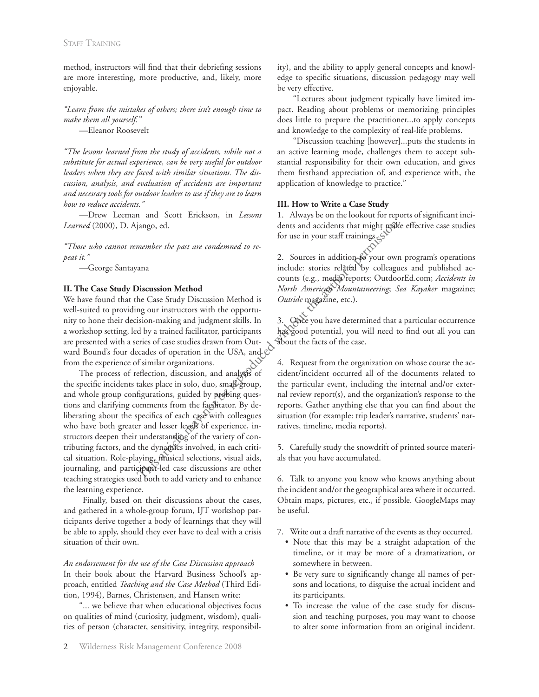method, instructors will find that their debriefing sessions are more interesting, more productive, and, likely, more enjoyable.

*"Learn from the mistakes of others; there isn't enough time to make them all yourself."* —Eleanor Roosevelt

*"The lessons learned from the study of accidents, while not a substitute for actual experience, can be very useful for outdoor leaders when they are faced with similar situations. The discussion, analysis, and evaluation of accidents are important and necessary tools for outdoor leaders to use if they are to learn how to reduce accidents."*

—Drew Leeman and Scott Erickson, in *Lessons Learned* (2000), D. Ajango, ed.

*"Those who cannot remember the past are condemned to repeat it."*

—George Santayana

## **II. The Case Study Discussion Method**

We have found that the Case Study Discussion Method is well-suited to providing our instructors with the opportunity to hone their decision-making and judgment skills. In a workshop setting, led by a trained facilitator, participants are presented with a series of case studies drawn from Outward Bound's four decades of operation in the USA, and from the experience of similar organizations.

The process of reflection, discussion, and analysis of the specific incidents takes place in solo, duo, small group, and whole group configurations, guided by probing questions and clarifying comments from the facilitator. By deliberating about the specifics of each case with colleagues who have both greater and lesser levels of experience, instructors deepen their understanding of the variety of contributing factors, and the dynamics involved, in each critical situation. Role-playing, musical selections, visual aids, journaling, and participant-led case discussions are other teaching strategies used both to add variety and to enhance the learning experience. dents and accidents that might make<br>for use in your staff trainings.<br>
member the past are condemned to re-<br>
2. Sources in addition to your own<br>
include: stories related by colleagu<br>
counts (e.g., media reports; Outdoo<br>
Mex

 Finally, based on their discussions about the cases, and gathered in a whole-group forum, IJT workshop participants derive together a body of learnings that they will be able to apply, should they ever have to deal with a crisis situation of their own.

*An endorsement for the use of the Case Discussion approach* In their book about the Harvard Business School's approach, entitled *Teaching and the Case Method* (Third Edition, 1994), Barnes, Christensen, and Hansen write:

"... we believe that when educational objectives focus on qualities of mind (curiosity, judgment, wisdom), qualities of person (character, sensitivity, integrity, responsibility), and the ability to apply general concepts and knowledge to specific situations, discussion pedagogy may well be very effective.

"Lectures about judgment typically have limited impact. Reading about problems or memorizing principles does little to prepare the practitioner...to apply concepts and knowledge to the complexity of real-life problems.

"Discussion teaching [however]...puts the students in an active learning mode, challenges them to accept substantial responsibility for their own education, and gives them firsthand appreciation of, and experience with, the application of knowledge to practice."

## **III. How to Write a Case Study**

1. Always be on the lookout for reports of significant incidents and accidents that might make effective case studies for use in your staff trainings.

2. Sources in addition to your own program's operations include: stories related by colleagues and published accounts (e.g., media reports; OutdoorEd.com; *Accidents in North American Mountaineering*; *Sea Kayaker* magazine; *Outside* magazine, etc.).

3. Once you have determined that a particular occurrence has good potential, you will need to find out all you can about the facts of the case.

4. Request from the organization on whose course the accident/incident occurred all of the documents related to the particular event, including the internal and/or external review report(s), and the organization's response to the reports. Gather anything else that you can find about the situation (for example: trip leader's narrative, students' narratives, timeline, media reports).

5. Carefully study the snowdrift of printed source materials that you have accumulated.

6. Talk to anyone you know who knows anything about the incident and/or the geographical area where it occurred. Obtain maps, pictures, etc., if possible. GoogleMaps may be useful.

7. Write out a draft narrative of the events as they occurred.

- • Note that this may be a straight adaptation of the timeline, or it may be more of a dramatization, or somewhere in between.
- • Be very sure to significantly change all names of persons and locations, to disguise the actual incident and its participants.
- • To increase the value of the case study for discussion and teaching purposes, you may want to choose to alter some information from an original incident.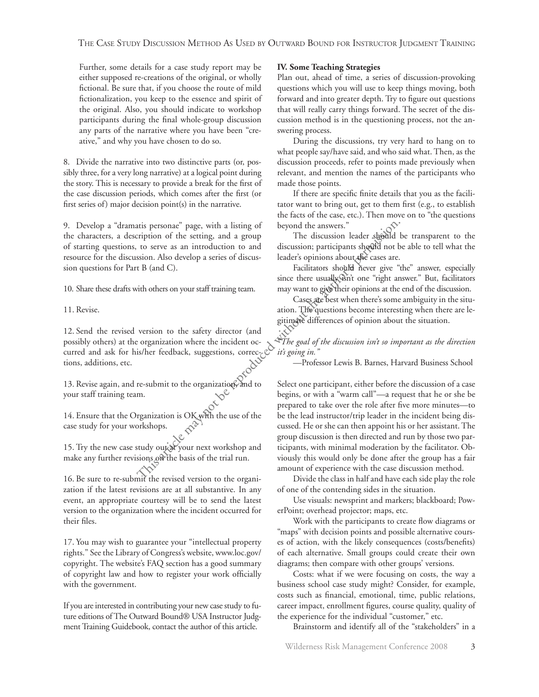Further, some details for a case study report may be either supposed re-creations of the original, or wholly fictional. Be sure that, if you choose the route of mild fictionalization, you keep to the essence and spirit of the original. Also, you should indicate to workshop participants during the final whole-group discussion any parts of the narrative where you have been "creative," and why you have chosen to do so.

8. Divide the narrative into two distinctive parts (or, possibly three, for a very long narrative) at a logical point during the story. This is necessary to provide a break for the first of the case discussion periods, which comes after the first (or first series of) major decision point(s) in the narrative.

9. Develop a "dramatis personae" page, with a listing of the characters, a description of the setting, and a group of starting questions, to serve as an introduction to and resource for the discussion. Also develop a series of discussion questions for Part B (and C).

10. Share these drafts with others on your staff training team.

11. Revise.

12. Send the revised version to the safety director (and possibly others) at the organization where the incident occurred and ask for his/her feedback, suggestions, corrections, additions, etc.

13. Revise again, and re-submit to the organization, and to your staff training team.

14. Ensure that the Organization is OK with the use of the case study for your workshops.

15. Try the new case study out at your next workshop and make any further revisions on the basis of the trial run.

16. Be sure to re-submit the revised version to the organization if the latest revisions are at all substantive. In any event, an appropriate courtesy will be to send the latest version to the organization where the incident occurred for their files.

17. You may wish to guarantee your "intellectual property rights." See the Library of Congress's website, www.loc.gov/ copyright. The website's FAQ section has a good summary of copyright law and how to register your work officially with the government.

If you are interested in contributing your new case study to future editions of The Outward Bound® USA Instructor Judgment Training Guidebook, contact the author of this article.

#### **IV. Some Teaching Strategies**

Plan out, ahead of time, a series of discussion-provoking questions which you will use to keep things moving, both forward and into greater depth. Try to figure out questions that will really carry things forward. The secret of the discussion method is in the questioning process, not the answering process.

During the discussions, try very hard to hang on to what people say/have said, and who said what. Then, as the discussion proceeds, refer to points made previously when relevant, and mention the names of the participants who made those points.

If there are specific finite details that you as the facilitator want to bring out, get to them first (e.g., to establish the facts of the case, etc.). Then move on to "the questions beyond the answers."

The discussion leader should be transparent to the discussion; participants should not be able to tell what the leader's opinions about the cases are.

Facilitators should never give "the" answer, especially since there usually isn't one "right answer." But, facilitators may want to give their opinions at the end of the discussion.

Cases are best when there's some ambiguity in the situation. The questions become interesting when there are legitimate differences of opinion about the situation.

*"The goal of the discussion isn't so important as the direction it's going in."*

—Professor Lewis B. Barnes, Harvard Business School

Select one participant, either before the discussion of a case begins, or with a "warm call"—a request that he or she be prepared to take over the role after five more minutes—to be the lead instructor/trip leader in the incident being discussed. He or she can then appoint his or her assistant. The group discussion is then directed and run by those two participants, with minimal moderation by the facilitator. Obviously this would only be done after the group has a fair amount of experience with the case discussion method. artis personae" page, with a listing of<br>
tription of the setting, and a group<br>
The discussion leader should not to serve as an introduction to and<br>
sison. Also develop a series of discussion participants should not the ca

Divide the class in half and have each side play the role of one of the contending sides in the situation.

Use visuals: newsprint and markers; blackboard; PowerPoint; overhead projector; maps, etc.

Work with the participants to create flow diagrams or "maps" with decision points and possible alternative courses of action, with the likely consequences (costs/benefits) of each alternative. Small groups could create their own diagrams; then compare with other groups' versions.

Costs: what if we were focusing on costs, the way a business school case study might? Consider, for example, costs such as financial, emotional, time, public relations, career impact, enrollment figures, course quality, quality of the experience for the individual "customer," etc.

Brainstorm and identify all of the "stakeholders" in a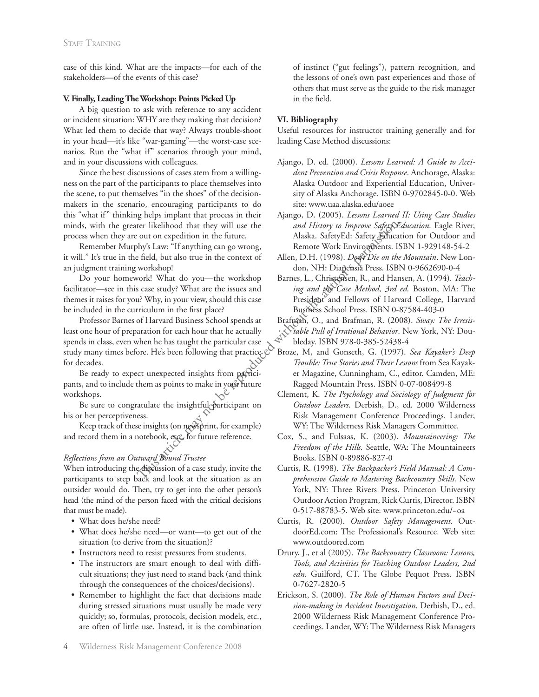case of this kind. What are the impacts—for each of the stakeholders—of the events of this case?

## **V. Finally, Leading The Workshop: Points Picked Up**

A big question to ask with reference to any accident or incident situation: WHY are they making that decision? What led them to decide that way? Always trouble-shoot in your head—it's like "war-gaming"—the worst-case scenarios. Run the "what if" scenarios through your mind, and in your discussions with colleagues.

Since the best discussions of cases stem from a willingness on the part of the participants to place themselves into the scene, to put themselves "in the shoes" of the decisionmakers in the scenario, encouraging participants to do this "what if" thinking helps implant that process in their minds, with the greater likelihood that they will use the process when they are out on expedition in the future.

Remember Murphy's Law: "If anything can go wrong, it will." It's true in the field, but also true in the context of an judgment training workshop!

Do your homework! What do you—the workshop facilitator—see in this case study? What are the issues and themes it raises for you? Why, in your view, should this case be included in the curriculum in the first place?

Professor Barnes of Harvard Business School spends at least one hour of preparation for each hour that he actually spends in class, even when he has taught the particular case study many times before. He's been following that practice for decades. ter likelihood that they will use the<br>
orto mexpedition in the future. Alaska. SafetyEd: Safety Education<br>
hyp's Law: "If anything can go wrong,<br>
he field, but also true in the context of Allen, D.H. (1998). *Don't Die on* 

Be ready to expect unexpected insights from participants, and to include them as points to make in your future workshops.

Be sure to congratulate the insightful participant on his or her perceptiveness.

Keep track of these insights (on newsprint, for example) and record them in a notebook, etc., for future reference.

# *Reflections from an Outward Bound Trustee*

When introducing the discussion of a case study, invite the participants to step back and look at the situation as an outsider would do. Then, try to get into the other person's head (the mind of the person faced with the critical decisions that must be made).

- • What does he/she need?
- What does he/she need—or want—to get out of the situation (to derive from the situation)?
- • Instructors need to resist pressures from students.
- The instructors are smart enough to deal with difficult situations; they just need to stand back (and think through the consequences of the choices/decisions).
- • Remember to highlight the fact that decisions made during stressed situations must usually be made very quickly; so, formulas, protocols, decision models, etc., are often of little use. Instead, it is the combination

of instinct ("gut feelings"), pattern recognition, and the lessons of one's own past experiences and those of others that must serve as the guide to the risk manager in the field.

# **VI. Bibliography**

Useful resources for instructor training generally and for leading Case Method discussions:

- Ajango, D. ed. (2000). *Lessons Learned: A Guide to Accident Prevention and Crisis Response*. Anchorage, Alaska: Alaska Outdoor and Experiential Education, University of Alaska Anchorage. ISBN 0-9702845-0-0. Web site: www.uaa.alaska.edu/aoee
- Ajango, D. (2005). *Lessons Learned II: Using Case Studies and History to Improve Safety Education*. Eagle River, Alaska. SafetyEd: Safety Education for Outdoor and Remote Work Environments. ISBN 1-929148-54-2
- Allen, D.H. (1998). *Don't Die on the Mountain*. New London, NH: Diapensia Press. ISBN 0-9662690-0-4
- Barnes, L., Christensen, R., and Hansen, A. (1994). *Teaching and the Case Method, 3rd ed.* Boston, MA: The President and Fellows of Harvard College, Harvard Business School Press. ISBN 0-87584-403-0
- Brafman, O., and Brafman, R. (2008). *Sway: The Irresistable Pull of Irrational Behavior*. New York, NY: Doubleday. ISBN 978-0-385-52438-4
- Broze, M, and Gonseth, G. (1997). *Sea Kayaker's Deep Trouble: True Stories and Their Lessons* from Sea Kayaker Magazine, Cunningham, C., editor. Camden, ME: Ragged Mountain Press. ISBN 0-07-008499-8
- Clement, K. *The Psychology and Sociology of Judgment for Outdoor Leaders*. Derbish, D., ed. 2000 Wilderness Risk Management Conference Proceedings. Lander, WY: The Wilderness Risk Managers Committee.
- Cox, S., and Fulsaas, K. (2003). *Mountaineering: The Freedom of the Hills.* Seattle, WA: The Mountaineers Books. ISBN 0-89886-827-0
- Curtis, R. (1998). *The Backpacker's Field Manual: A Comprehensive Guide to Mastering Backcountry Skills.* New York, NY: Three Rivers Press. Princeton University Outdoor Action Program, Rick Curtis, Director. ISBN 0-517-88783-5. Web site: www.princeton.edu/~oa
- Curtis, R. (2000). *Outdoor Safety Management*. OutdoorEd.com: The Professional's Resource. Web site: www.outdoored.com
- Drury, J., et al (2005). *The Backcountry Classroom: Lessons, Tools, and Activities for Teaching Outdoor Leaders, 2nd edn*. Guilford, CT. The Globe Pequot Press. ISBN 0-7627-2820-5
- Erickson, S. (2000). *The Role of Human Factors and Decision-making in Accident Investigation*. Derbish, D., ed. 2000 Wilderness Risk Management Conference Proceedings. Lander, WY: The Wilderness Risk Managers